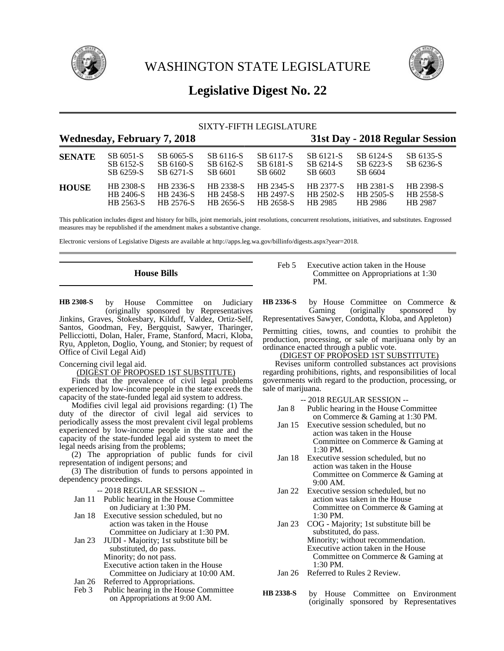



# **Legislative Digest No. 22**

# SIXTY-FIFTH LEGISLATURE

|               | <b>Wednesday, February 7, 2018</b>  |                                     | 31st Day - 2018 Regular Session     |                                     |                                   |                                   |                                   |
|---------------|-------------------------------------|-------------------------------------|-------------------------------------|-------------------------------------|-----------------------------------|-----------------------------------|-----------------------------------|
| <b>SENATE</b> | SB 6051-S<br>SB 6152-S<br>SB 6259-S | SB 6065-S<br>SB 6160-S<br>SB 6271-S | SB 6116-S<br>SB 6162-S<br>SB 6601   | SB 6117-S<br>SB 6181-S<br>SB 6602   | SB 6121-S<br>SB 6214-S<br>SB 6603 | SB 6124-S<br>SB 6223-S<br>SB 6604 | SB 6135-S<br>SB 6236-S            |
| <b>HOUSE</b>  | HB 2308-S<br>HB 2406-S<br>HB 2563-S | HB 2336-S<br>HB 2436-S<br>HB 2576-S | HB 2338-S<br>HB 2458-S<br>HB 2656-S | HB 2345-S<br>HB 2497-S<br>HB 2658-S | HB 2377-S<br>HB 2502-S<br>HB 2985 | HB 2381-S<br>HB 2505-S<br>HB 2986 | HB 2398-S<br>HB 2558-S<br>HB 2987 |

This publication includes digest and history for bills, joint memorials, joint resolutions, concurrent resolutions, initiatives, and substitutes. Engrossed measures may be republished if the amendment makes a substantive change.

Electronic versions of Legislative Digests are available at http://apps.leg.wa.gov/billinfo/digests.aspx?year=2018.

# **House Bills**

by House Committee on Judiciary (originally sponsored by Representatives Jinkins, Graves, Stokesbary, Kilduff, Valdez, Ortiz-Self, Santos, Goodman, Fey, Bergquist, Sawyer, Tharinger, Pellicciotti, Dolan, Haler, Frame, Stanford, Macri, Kloba, Ryu, Appleton, Doglio, Young, and Stonier; by request of Office of Civil Legal Aid) **HB 2308-S**

### Concerning civil legal aid.

### (DIGEST OF PROPOSED 1ST SUBSTITUTE)

Finds that the prevalence of civil legal problems experienced by low-income people in the state exceeds the capacity of the state-funded legal aid system to address.

Modifies civil legal aid provisions regarding: (1) The duty of the director of civil legal aid services to periodically assess the most prevalent civil legal problems experienced by low-income people in the state and the capacity of the state-funded legal aid system to meet the legal needs arising from the problems;

(2) The appropriation of public funds for civil representation of indigent persons; and

(3) The distribution of funds to persons appointed in dependency proceedings.

-- 2018 REGULAR SESSION --

- Jan 11 Public hearing in the House Committee on Judiciary at 1:30 PM.
- Jan 18 Executive session scheduled, but no action was taken in the House Committee on Judiciary at 1:30 PM.
- Jan 23 JUDI Majority; 1st substitute bill be substituted, do pass. Minority; do not pass. Executive action taken in the House Committee on Judiciary at 10:00 AM.
- Jan 26 Referred to Appropriations.
- Feb 3 Public hearing in the House Committee on Appropriations at 9:00 AM.

### Feb 5 Executive action taken in the House Committee on Appropriations at 1:30 PM.

by House Committee on Commerce &<br>Gaming (originally sponsored by (originally sponsored by Representatives Sawyer, Condotta, Kloba, and Appleton) **HB 2336-S**

Permitting cities, towns, and counties to prohibit the production, processing, or sale of marijuana only by an ordinance enacted through a public vote.

### (DIGEST OF PROPOSED 1ST SUBSTITUTE)

Revises uniform controlled substances act provisions regarding prohibitions, rights, and responsibilities of local governments with regard to the production, processing, or sale of marijuana.

- Jan 8 Public hearing in the House Committee on Commerce & Gaming at 1:30 PM.
- Jan 15 Executive session scheduled, but no action was taken in the House Committee on Commerce & Gaming at 1:30 PM.
- Jan 18 Executive session scheduled, but no action was taken in the House Committee on Commerce & Gaming at 9:00 AM.
- Jan 22 Executive session scheduled, but no action was taken in the House Committee on Commerce & Gaming at 1:30 PM.
- Jan 23 COG Majority; 1st substitute bill be substituted, do pass. Minority; without recommendation. Executive action taken in the House Committee on Commerce & Gaming at 1:30 PM.
- Jan 26 Referred to Rules 2 Review.
- by House Committee on Environment (originally sponsored by Representatives **HB 2338-S**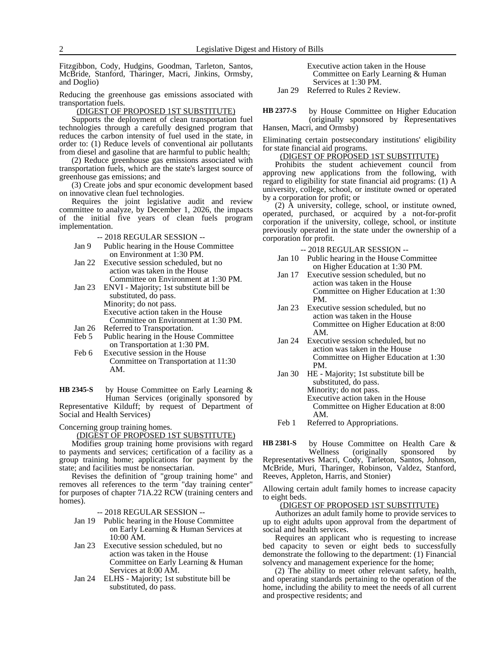Fitzgibbon, Cody, Hudgins, Goodman, Tarleton, Santos, McBride, Stanford, Tharinger, Macri, Jinkins, Ormsby, and Doglio)

Reducing the greenhouse gas emissions associated with transportation fuels.

### (DIGEST OF PROPOSED 1ST SUBSTITUTE)

Supports the deployment of clean transportation fuel technologies through a carefully designed program that reduces the carbon intensity of fuel used in the state, in order to: (1) Reduce levels of conventional air pollutants from diesel and gasoline that are harmful to public health;

(2) Reduce greenhouse gas emissions associated with transportation fuels, which are the state's largest source of greenhouse gas emissions; and

(3) Create jobs and spur economic development based on innovative clean fuel technologies.

Requires the joint legislative audit and review committee to analyze, by December 1, 2026, the impacts of the initial five years of clean fuels program implementation.

-- 2018 REGULAR SESSION --

- Jan 9 Public hearing in the House Committee on Environment at 1:30 PM.
- Jan 22 Executive session scheduled, but no action was taken in the House Committee on Environment at 1:30 PM.
- Jan 23 ENVI Majority; 1st substitute bill be substituted, do pass. Minority; do not pass. Executive action taken in the House Committee on Environment at 1:30 PM.
- Jan 26 Referred to Transportation.<br>Feb 5 Public hearing in the House
- Public hearing in the House Committee on Transportation at 1:30 PM.
- Feb 6 Executive session in the House Committee on Transportation at 11:30 AM.

by House Committee on Early Learning & Human Services (originally sponsored by Representative Kilduff; by request of Department of Social and Health Services) **HB 2345-S**

Concerning group training homes.

(DIGEST OF PROPOSED 1ST SUBSTITUTE)

Modifies group training home provisions with regard to payments and services; certification of a facility as a group training home; applications for payment by the state; and facilities must be nonsectarian.

Revises the definition of "group training home" and removes all references to the term "day training center" for purposes of chapter 71A.22 RCW (training centers and homes).

-- 2018 REGULAR SESSION --

- Jan 19 Public hearing in the House Committee on Early Learning & Human Services at 10:00 AM.
- Jan 23 Executive session scheduled, but no action was taken in the House Committee on Early Learning & Human Services at 8:00 AM.
- Jan 24 ELHS Majority; 1st substitute bill be substituted, do pass.

| Executive action taken in the House |
|-------------------------------------|
| Committee on Early Learning & Human |
| Services at 1:30 PM.                |

Jan 29 Referred to Rules 2 Review.

by House Committee on Higher Education (originally sponsored by Representatives Hansen, Macri, and Ormsby) **HB 2377-S**

Eliminating certain postsecondary institutions' eligibility for state financial aid programs.

### (DIGEST OF PROPOSED 1ST SUBSTITUTE)

Prohibits the student achievement council from approving new applications from the following, with regard to eligibility for state financial aid programs: (1) A university, college, school, or institute owned or operated by a corporation for profit; or

(2) A university, college, school, or institute owned, operated, purchased, or acquired by a not-for-profit corporation if the university, college, school, or institute previously operated in the state under the ownership of a corporation for profit.

-- 2018 REGULAR SESSION --

- Jan 10 Public hearing in the House Committee on Higher Education at 1:30 PM.
- Jan 17 Executive session scheduled, but no action was taken in the House Committee on Higher Education at 1:30 PM.
- Jan 23 Executive session scheduled, but no action was taken in the House Committee on Higher Education at 8:00 AM.
- Jan 24 Executive session scheduled, but no action was taken in the House Committee on Higher Education at 1:30 PM.
- Jan 30 HE Majority; 1st substitute bill be substituted, do pass. Minority; do not pass. Executive action taken in the House Committee on Higher Education at 8:00 AM.
- Feb 1 Referred to Appropriations.

by House Committee on Health Care &<br>Wellness (originally sponsored by (originally sponsored by Representatives Macri, Cody, Tarleton, Santos, Johnson, McBride, Muri, Tharinger, Robinson, Valdez, Stanford, Reeves, Appleton, Harris, and Stonier) **HB 2381-S**

Allowing certain adult family homes to increase capacity to eight beds.

(DIGEST OF PROPOSED 1ST SUBSTITUTE)

Authorizes an adult family home to provide services to up to eight adults upon approval from the department of social and health services.

Requires an applicant who is requesting to increase bed capacity to seven or eight beds to successfully demonstrate the following to the department: (1) Financial solvency and management experience for the home;

(2) The ability to meet other relevant safety, health, and operating standards pertaining to the operation of the home, including the ability to meet the needs of all current and prospective residents; and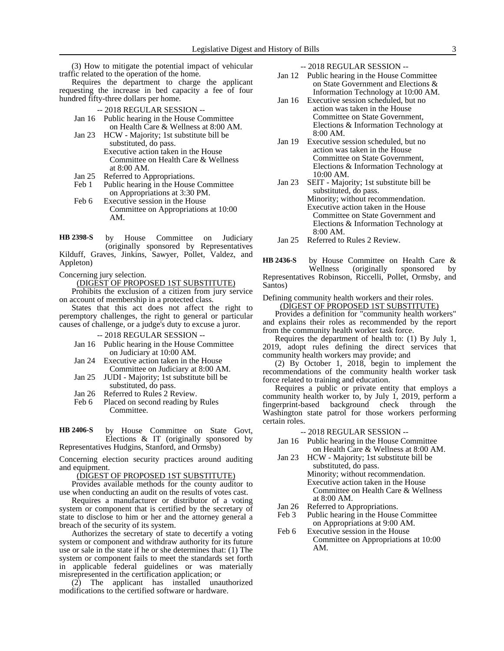(3) How to mitigate the potential impact of vehicular traffic related to the operation of the home.

Requires the department to charge the applicant requesting the increase in bed capacity a fee of four hundred fifty-three dollars per home.

-- 2018 REGULAR SESSION --

- Jan 16 Public hearing in the House Committee on Health Care & Wellness at 8:00 AM.
- Jan 23 HCW Majority; 1st substitute bill be substituted, do pass. Executive action taken in the House Committee on Health Care & Wellness at 8:00 AM.
- Jan 25 Referred to Appropriations.<br>Feb 1 Public hearing in the House
- Public hearing in the House Committee on Appropriations at 3:30 PM.
- Feb 6 Executive session in the House Committee on Appropriations at 10:00 AM.

by House Committee on Judiciary (originally sponsored by Representatives Kilduff, Graves, Jinkins, Sawyer, Pollet, Valdez, and Appleton) **HB 2398-S**

Concerning jury selection.

(DIGEST OF PROPOSED 1ST SUBSTITUTE)

Prohibits the exclusion of a citizen from jury service on account of membership in a protected class.

States that this act does not affect the right to peremptory challenges, the right to general or particular causes of challenge, or a judge's duty to excuse a juror.

-- 2018 REGULAR SESSION --

- Jan 16 Public hearing in the House Committee on Judiciary at 10:00 AM.
- Jan 24 Executive action taken in the House Committee on Judiciary at 8:00 AM.
- Jan 25 JUDI Majority; 1st substitute bill be
- substituted, do pass.
- Jan 26 Referred to Rules 2 Review.<br>Feb 6 Placed on second reading by
- Placed on second reading by Rules Committee.
- by House Committee on State Govt, Elections & IT (originally sponsored by Representatives Hudgins, Stanford, and Ormsby) **HB 2406-S**

Concerning election security practices around auditing and equipment.

### (DIGEST OF PROPOSED 1ST SUBSTITUTE)

Provides available methods for the county auditor to use when conducting an audit on the results of votes cast.

Requires a manufacturer or distributor of a voting system or component that is certified by the secretary of state to disclose to him or her and the attorney general a breach of the security of its system.

Authorizes the secretary of state to decertify a voting system or component and withdraw authority for its future use or sale in the state if he or she determines that: (1) The system or component fails to meet the standards set forth in applicable federal guidelines or was materially misrepresented in the certification application; or

(2) The applicant has installed unauthorized modifications to the certified software or hardware.

-- 2018 REGULAR SESSION --

- Jan 12 Public hearing in the House Committee on State Government and Elections & Information Technology at 10:00 AM.
- Jan 16 Executive session scheduled, but no action was taken in the House Committee on State Government, Elections & Information Technology at 8:00 AM.
- Jan 19 Executive session scheduled, but no action was taken in the House Committee on State Government, Elections & Information Technology at 10:00 AM.
- Jan 23 SEIT Majority; 1st substitute bill be substituted, do pass. Minority; without recommendation. Executive action taken in the House Committee on State Government and Elections & Information Technology at 8:00 AM.

Jan 25 Referred to Rules 2 Review.

by House Committee on Health Care & Wellness (originally sponsored by Representatives Robinson, Riccelli, Pollet, Ormsby, and Santos) **HB 2436-S**

Defining community health workers and their roles.

(DIGEST OF PROPOSED 1ST SUBSTITUTE) Provides a definition for "community health workers" and explains their roles as recommended by the report

from the community health worker task force.

Requires the department of health to: (1) By July 1, 2019, adopt rules defining the direct services that community health workers may provide; and

(2) By October 1, 2018, begin to implement the recommendations of the community health worker task force related to training and education.

Requires a public or private entity that employs a community health worker to, by July 1, 2019, perform a fingerprint-based background check through the Washington state patrol for those workers performing certain roles.

- -- 2018 REGULAR SESSION --
- Jan 16 Public hearing in the House Committee on Health Care & Wellness at 8:00 AM.
- Jan 23 HCW Majority; 1st substitute bill be substituted, do pass. Minority; without recommendation. Executive action taken in the House Committee on Health Care & Wellness at 8:00 AM.
- 
- Jan 26 Referred to Appropriations.<br>Feb 3 Public hearing in the House Public hearing in the House Committee on Appropriations at 9:00 AM.
- Feb 6 Executive session in the House Committee on Appropriations at 10:00 AM.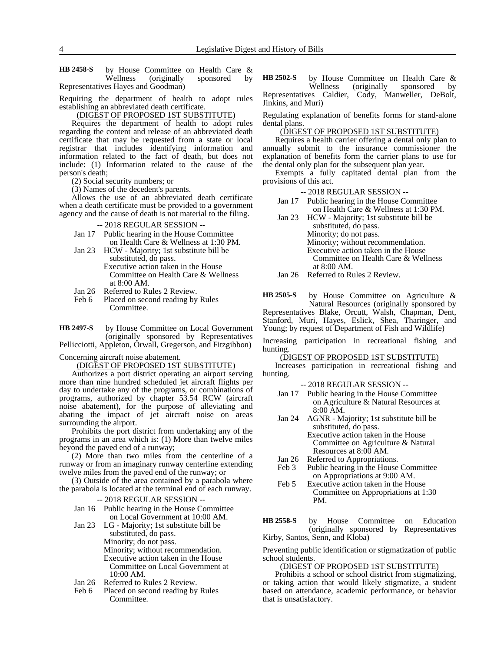4 Legislative Digest and History of Bills

by House Committee on Health Care & Wellness (originally sponsored by Representatives Hayes and Goodman) **HB 2458-S**

Requiring the department of health to adopt rules establishing an abbreviated death certificate.

(DIGEST OF PROPOSED 1ST SUBSTITUTE)

Requires the department of health to adopt rules regarding the content and release of an abbreviated death certificate that may be requested from a state or local registrar that includes identifying information and information related to the fact of death, but does not include: (1) Information related to the cause of the person's death;

(2) Social security numbers; or

(3) Names of the decedent's parents.

Allows the use of an abbreviated death certificate when a death certificate must be provided to a government agency and the cause of death is not material to the filing.

-- 2018 REGULAR SESSION --

- Jan 17 Public hearing in the House Committee on Health Care & Wellness at 1:30 PM.
- Jan 23 HCW Majority; 1st substitute bill be substituted, do pass. Executive action taken in the House Committee on Health Care & Wellness at 8:00 AM.
- Jan 26 Referred to Rules 2 Review.
- Feb 6 Placed on second reading by Rules Committee.

by House Committee on Local Government (originally sponsored by Representatives Pellicciotti, Appleton, Orwall, Gregerson, and Fitzgibbon) **HB 2497-S**

Concerning aircraft noise abatement.

(DIGEST OF PROPOSED 1ST SUBSTITUTE)

Authorizes a port district operating an airport serving more than nine hundred scheduled jet aircraft flights per day to undertake any of the programs, or combinations of programs, authorized by chapter 53.54 RCW (aircraft noise abatement), for the purpose of alleviating and abating the impact of jet aircraft noise on areas surrounding the airport.

Prohibits the port district from undertaking any of the programs in an area which is: (1) More than twelve miles beyond the paved end of a runway;

(2) More than two miles from the centerline of a runway or from an imaginary runway centerline extending twelve miles from the paved end of the runway; or

(3) Outside of the area contained by a parabola where the parabola is located at the terminal end of each runway.

|  |  |  |  | --2018 REGULAR SESSION -- |  |
|--|--|--|--|---------------------------|--|
|  |  |  |  |                           |  |

Jan 16 Public hearing in the House Committee on Local Government at 10:00 AM.

Jan 23 LG - Majority; 1st substitute bill be substituted, do pass. Minority; do not pass. Minority; without recommendation. Executive action taken in the House Committee on Local Government at 10:00 AM.

- Jan 26 Referred to Rules 2 Review.<br>Feb 6 Placed on second reading by
- Placed on second reading by Rules Committee.

by House Committee on Health Care & Wellness (originally sponsored by Representatives Caldier, Cody, Manweller, DeBolt, Jinkins, and Muri) **HB 2502-S**

Regulating explanation of benefits forms for stand-alone dental plans.

(DIGEST OF PROPOSED 1ST SUBSTITUTE)

Requires a health carrier offering a dental only plan to annually submit to the insurance commissioner the explanation of benefits form the carrier plans to use for the dental only plan for the subsequent plan year.

Exempts a fully capitated dental plan from the provisions of this act.

-- 2018 REGULAR SESSION --

- Jan 17 Public hearing in the House Committee on Health Care & Wellness at 1:30 PM.
- Jan 23 HCW Majority; 1st substitute bill be substituted, do pass. Minority; do not pass. Minority; without recommendation. Executive action taken in the House Committee on Health Care & Wellness at 8:00 AM.

Jan 26 Referred to Rules 2 Review.

by House Committee on Agriculture & Natural Resources (originally sponsored by Representatives Blake, Orcutt, Walsh, Chapman, Dent, Stanford, Muri, Hayes, Eslick, Shea, Tharinger, and Young; by request of Department of Fish and Wildlife) **HB 2505-S**

Increasing participation in recreational fishing and hunting.

(DIGEST OF PROPOSED 1ST SUBSTITUTE)

Increases participation in recreational fishing and hunting.

-- 2018 REGULAR SESSION --

- Jan 17 Public hearing in the House Committee on Agriculture & Natural Resources at 8:00 AM.
- Jan 24 AGNR Majority; 1st substitute bill be substituted, do pass.

Executive action taken in the House Committee on Agriculture & Natural Resources at 8:00 AM.

- Jan 26 Referred to Appropriations.
- Feb 3 Public hearing in the House Committee on Appropriations at 9:00 AM.
- Feb 5 Executive action taken in the House Committee on Appropriations at 1:30 PM.

by House Committee on Education (originally sponsored by Representatives Kirby, Santos, Senn, and Kloba) **HB 2558-S**

Preventing public identification or stigmatization of public school students.

(DIGEST OF PROPOSED 1ST SUBSTITUTE)

Prohibits a school or school district from stigmatizing, or taking action that would likely stigmatize, a student based on attendance, academic performance, or behavior that is unsatisfactory.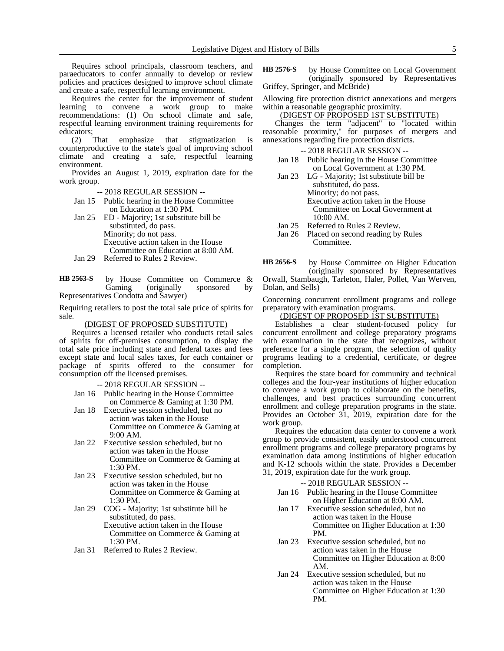Requires school principals, classroom teachers, and paraeducators to confer annually to develop or review policies and practices designed to improve school climate and create a safe, respectful learning environment.

Requires the center for the improvement of student learning to convene a work group to make recommendations: (1) On school climate and safe, respectful learning environment training requirements for educators;

(2) That emphasize that stigmatization is counterproductive to the state's goal of improving school climate and creating a safe, respectful learning environment.

Provides an August 1, 2019, expiration date for the work group.

-- 2018 REGULAR SESSION --

Jan 15 Public hearing in the House Committee on Education at 1:30 PM.

Jan 25 ED - Majority; 1st substitute bill be substituted, do pass. Minority; do not pass. Executive action taken in the House Committee on Education at 8:00 AM.

Jan 29 Referred to Rules 2 Review.

by House Committee on Commerce & Gaming (originally sponsored by Representatives Condotta and Sawyer) **HB 2563-S**

Requiring retailers to post the total sale price of spirits for sale.

### (DIGEST OF PROPOSED SUBSTITUTE)

Requires a licensed retailer who conducts retail sales of spirits for off-premises consumption, to display the total sale price including state and federal taxes and fees except state and local sales taxes, for each container or package of spirits offered to the consumer for consumption off the licensed premises.

-- 2018 REGULAR SESSION --

- Jan 16 Public hearing in the House Committee on Commerce & Gaming at 1:30 PM.
- Jan 18 Executive session scheduled, but no action was taken in the House Committee on Commerce & Gaming at 9:00 AM.
- Jan 22 Executive session scheduled, but no action was taken in the House Committee on Commerce & Gaming at 1:30 PM.
- Jan 23 Executive session scheduled, but no action was taken in the House Committee on Commerce & Gaming at 1:30 PM.
- Jan 29 COG Majority; 1st substitute bill be substituted, do pass. Executive action taken in the House Committee on Commerce & Gaming at 1:30 PM.
- Jan 31 Referred to Rules 2 Review.

by House Committee on Local Government (originally sponsored by Representatives Griffey, Springer, and McBride) **HB 2576-S**

Allowing fire protection district annexations and mergers within a reasonable geographic proximity.

(DIGEST OF PROPOSED 1ST SUBSTITUTE)

Changes the term "adjacent" to "located within reasonable proximity," for purposes of mergers and annexations regarding fire protection districts.

-- 2018 REGULAR SESSION --

- Jan 18 Public hearing in the House Committee on Local Government at 1:30 PM.
- Jan 23 LG Majority; 1st substitute bill be substituted, do pass. Minority; do not pass. Executive action taken in the House Committee on Local Government at 10:00 AM.
- Jan 25 Referred to Rules 2 Review.<br>Jan 26 Placed on second reading by
- Placed on second reading by Rules Committee.

by House Committee on Higher Education **HB 2656-S**

(originally sponsored by Representatives Orwall, Stambaugh, Tarleton, Haler, Pollet, Van Werven, Dolan, and Sells)

Concerning concurrent enrollment programs and college preparatory with examination programs.

(DIGEST OF PROPOSED 1ST SUBSTITUTE)

Establishes a clear student-focused policy for concurrent enrollment and college preparatory programs with examination in the state that recognizes, without preference for a single program, the selection of quality programs leading to a credential, certificate, or degree completion.

Requires the state board for community and technical colleges and the four-year institutions of higher education to convene a work group to collaborate on the benefits, challenges, and best practices surrounding concurrent enrollment and college preparation programs in the state. Provides an October 31, 2019, expiration date for the work group.

Requires the education data center to convene a work group to provide consistent, easily understood concurrent enrollment programs and college preparatory programs by examination data among institutions of higher education and K-12 schools within the state. Provides a December 31, 2019, expiration date for the work group.

- Jan 16 Public hearing in the House Committee on Higher Education at 8:00 AM.
- Jan 17 Executive session scheduled, but no action was taken in the House Committee on Higher Education at 1:30 PM.
- Jan 23 Executive session scheduled, but no action was taken in the House Committee on Higher Education at 8:00 AM.
- Jan 24 Executive session scheduled, but no action was taken in the House Committee on Higher Education at 1:30 PM.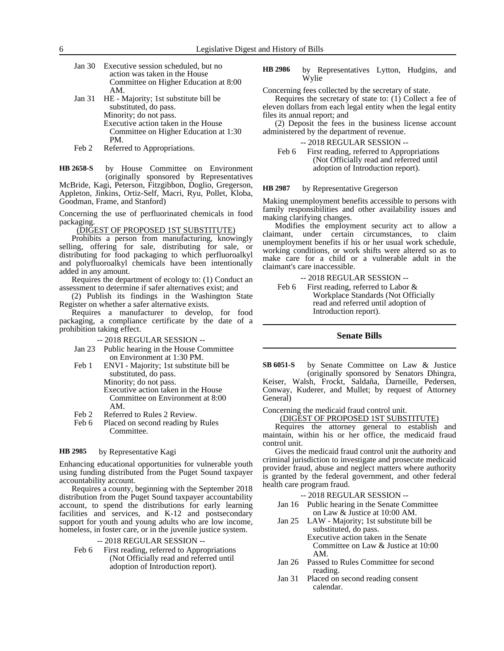Jan 30 Executive session scheduled, but no action was taken in the House Committee on Higher Education at 8:00 AM. Jan 31 HE - Majority; 1st substitute bill be substituted, do pass. Minority; do not pass. Executive action taken in the House

Committee on Higher Education at 1:30 PM.

Feb 2 Referred to Appropriations.

by House Committee on Environment (originally sponsored by Representatives McBride, Kagi, Peterson, Fitzgibbon, Doglio, Gregerson, Appleton, Jinkins, Ortiz-Self, Macri, Ryu, Pollet, Kloba, Goodman, Frame, and Stanford) **HB 2658-S**

Concerning the use of perfluorinated chemicals in food packaging.

(DIGEST OF PROPOSED 1ST SUBSTITUTE)

Prohibits a person from manufacturing, knowingly selling, offering for sale, distributing for sale, or distributing for food packaging to which perfluoroalkyl and polyfluoroalkyl chemicals have been intentionally added in any amount.

Requires the department of ecology to: (1) Conduct an assessment to determine if safer alternatives exist; and

(2) Publish its findings in the Washington State Register on whether a safer alternative exists.

Requires a manufacturer to develop, for food packaging, a compliance certificate by the date of a prohibition taking effect.

-- 2018 REGULAR SESSION --

- Jan 23 Public hearing in the House Committee on Environment at 1:30 PM.
- Feb 1 ENVI Majority; 1st substitute bill be substituted, do pass. Minority; do not pass. Executive action taken in the House Committee on Environment at 8:00 AM.
- Feb 2 Referred to Rules 2 Review.
- Feb 6 Placed on second reading by Rules Committee.

#### by Representative Kagi **HB 2985**

Enhancing educational opportunities for vulnerable youth using funding distributed from the Puget Sound taxpayer accountability account.

Requires a county, beginning with the September 2018 distribution from the Puget Sound taxpayer accountability account, to spend the distributions for early learning facilities and services, and K-12 and postsecondary support for youth and young adults who are low income, homeless, in foster care, or in the juvenile justice system.

### -- 2018 REGULAR SESSION --

Feb 6 First reading, referred to Appropriations (Not Officially read and referred until adoption of Introduction report).

by Representatives Lytton, Hudgins, and Wylie **HB 2986**

Concerning fees collected by the secretary of state.

Requires the secretary of state to: (1) Collect a fee of eleven dollars from each legal entity when the legal entity files its annual report; and

(2) Deposit the fees in the business license account administered by the department of revenue.

### -- 2018 REGULAR SESSION --

Feb 6 First reading, referred to Appropriations (Not Officially read and referred until adoption of Introduction report).

#### by Representative Gregerson **HB 2987**

Making unemployment benefits accessible to persons with family responsibilities and other availability issues and making clarifying changes.

Modifies the employment security act to allow a claimant, under certain circumstances, to claim unemployment benefits if his or her usual work schedule, working conditions, or work shifts were altered so as to make care for a child or a vulnerable adult in the claimant's care inaccessible.

-- 2018 REGULAR SESSION -- Feb 6 First reading, referred to Labor & Workplace Standards (Not Officially read and referred until adoption of Introduction report).

### **Senate Bills**

by Senate Committee on Law & Justice (originally sponsored by Senators Dhingra, Keiser, Walsh, Frockt, Saldaña, Darneille, Pedersen, Conway, Kuderer, and Mullet; by request of Attorney General) **SB 6051-S**

Concerning the medicaid fraud control unit.

(DIGEST OF PROPOSED 1ST SUBSTITUTE)

Requires the attorney general to establish and maintain, within his or her office, the medicaid fraud control unit.

Gives the medicaid fraud control unit the authority and criminal jurisdiction to investigate and prosecute medicaid provider fraud, abuse and neglect matters where authority is granted by the federal government, and other federal health care program fraud.

- Jan 16 Public hearing in the Senate Committee on Law & Justice at 10:00 AM.
- Jan 25 LAW Majority; 1st substitute bill be substituted, do pass. Executive action taken in the Senate Committee on Law & Justice at 10:00 AM.
- Jan 26 Passed to Rules Committee for second reading.
- Jan 31 Placed on second reading consent calendar.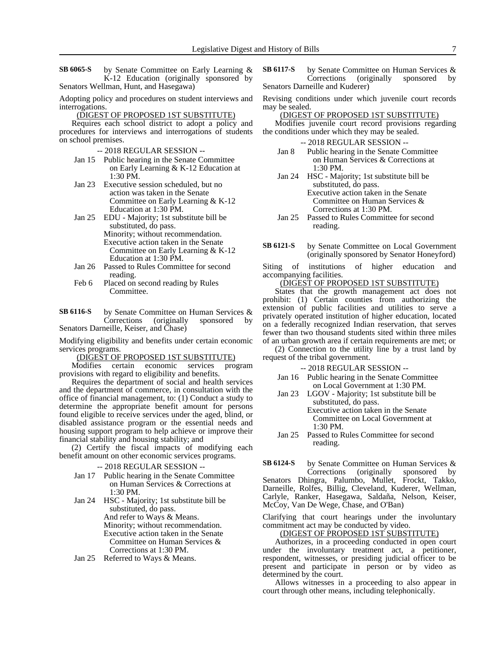by Senate Committee on Early Learning & K-12 Education (originally sponsored by Senators Wellman, Hunt, and Hasegawa) **SB 6065-S**

Adopting policy and procedures on student interviews and interrogations.

(DIGEST OF PROPOSED 1ST SUBSTITUTE)

Requires each school district to adopt a policy and procedures for interviews and interrogations of students on school premises.

-- 2018 REGULAR SESSION --

- Jan 15 Public hearing in the Senate Committee on Early Learning & K-12 Education at 1:30 PM.
- Jan 23 Executive session scheduled, but no action was taken in the Senate Committee on Early Learning & K-12 Education at 1:30 PM.
- Jan 25 EDU Majority; 1st substitute bill be substituted, do pass. Minority; without recommendation. Executive action taken in the Senate Committee on Early Learning & K-12
- Education at 1:30 PM. Jan 26 Passed to Rules Committee for second reading.
- Feb 6 Placed on second reading by Rules Committee.

by Senate Committee on Human Services & Corrections (originally sponsored by Senators Darneille, Keiser, and Chase) **SB 6116-S**

Modifying eligibility and benefits under certain economic services programs.

(DIGEST OF PROPOSED 1ST SUBSTITUTE)

Modifies certain economic services program provisions with regard to eligibility and benefits.

Requires the department of social and health services and the department of commerce, in consultation with the office of financial management, to: (1) Conduct a study to determine the appropriate benefit amount for persons found eligible to receive services under the aged, blind, or disabled assistance program or the essential needs and housing support program to help achieve or improve their financial stability and housing stability; and

(2) Certify the fiscal impacts of modifying each benefit amount on other economic services programs.

- -- 2018 REGULAR SESSION --
- Jan 17 Public hearing in the Senate Committee on Human Services & Corrections at 1:30 PM.
- Jan 24 HSC Majority; 1st substitute bill be substituted, do pass. And refer to Ways & Means. Minority; without recommendation. Executive action taken in the Senate Committee on Human Services & Corrections at 1:30 PM.
- Jan 25 Referred to Ways & Means.

by Senate Committee on Human Services & Corrections (originally sponsored by Senators Darneille and Kuderer) **SB 6117-S**

Revising conditions under which juvenile court records may be sealed.

(DIGEST OF PROPOSED 1ST SUBSTITUTE)

Modifies juvenile court record provisions regarding the conditions under which they may be sealed.

-- 2018 REGULAR SESSION --

- Jan 8 Public hearing in the Senate Committee on Human Services & Corrections at 1:30 PM.
- Jan 24 HSC Majority; 1st substitute bill be substituted, do pass. Executive action taken in the Senate Committee on Human Services & Corrections at 1:30 PM.
- Jan 25 Passed to Rules Committee for second reading.
- by Senate Committee on Local Government (originally sponsored by Senator Honeyford) **SB 6121-S**

Siting of institutions of higher education and accompanying facilities.

(DIGEST OF PROPOSED 1ST SUBSTITUTE)

States that the growth management act does not prohibit: (1) Certain counties from authorizing the extension of public facilities and utilities to serve a privately operated institution of higher education, located on a federally recognized Indian reservation, that serves fewer than two thousand students sited within three miles of an urban growth area if certain requirements are met; or

(2) Connection to the utility line by a trust land by request of the tribal government.

-- 2018 REGULAR SESSION --

- Jan 16 Public hearing in the Senate Committee on Local Government at 1:30 PM.
- Jan 23 LGOV Majority; 1st substitute bill be substituted, do pass.

Executive action taken in the Senate Committee on Local Government at 1:30 PM.

Jan 25 Passed to Rules Committee for second reading.

by Senate Committee on Human Services & Corrections (originally sponsored by Senators Dhingra, Palumbo, Mullet, Frockt, Takko, Darneille, Rolfes, Billig, Cleveland, Kuderer, Wellman, Carlyle, Ranker, Hasegawa, Saldaña, Nelson, Keiser, McCoy, Van De Wege, Chase, and O'Ban) **SB 6124-S**

Clarifying that court hearings under the involuntary commitment act may be conducted by video.

# (DIGEST OF PROPOSED 1ST SUBSTITUTE)

Authorizes, in a proceeding conducted in open court under the involuntary treatment act, a petitioner, respondent, witnesses, or presiding judicial officer to be present and participate in person or by video as determined by the court.

Allows witnesses in a proceeding to also appear in court through other means, including telephonically.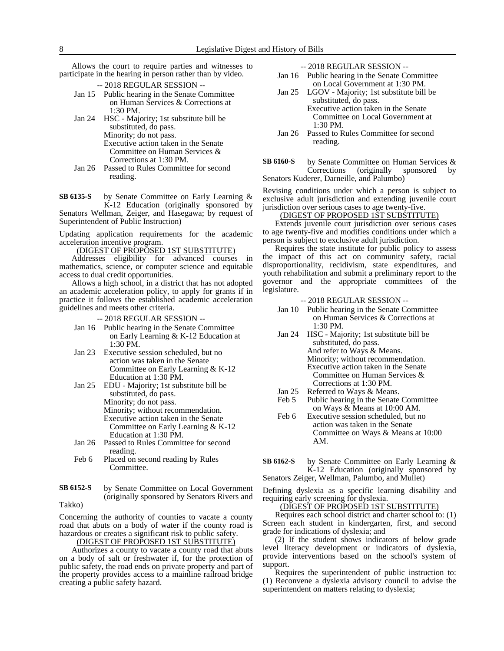Allows the court to require parties and witnesses to participate in the hearing in person rather than by video.

- -- 2018 REGULAR SESSION --
- Jan 15 Public hearing in the Senate Committee on Human Services & Corrections at 1:30 PM.
- Jan 24 HSC Majority; 1st substitute bill be substituted, do pass. Minority; do not pass. Executive action taken in the Senate Committee on Human Services & Corrections at 1:30 PM.
- Jan 26 Passed to Rules Committee for second reading.

by Senate Committee on Early Learning & K-12 Education (originally sponsored by Senators Wellman, Zeiger, and Hasegawa; by request of Superintendent of Public Instruction) **SB 6135-S**

Updating application requirements for the academic acceleration incentive program.

(DIGEST OF PROPOSED 1ST SUBSTITUTE)

Addresses eligibility for advanced courses in mathematics, science, or computer science and equitable access to dual credit opportunities.

Allows a high school, in a district that has not adopted an academic acceleration policy, to apply for grants if in practice it follows the established academic acceleration guidelines and meets other criteria.

- -- 2018 REGULAR SESSION --
- Jan 16 Public hearing in the Senate Committee on Early Learning & K-12 Education at 1:30 PM.
- Jan 23 Executive session scheduled, but no action was taken in the Senate Committee on Early Learning & K-12 Education at 1:30 PM.
- Jan 25 EDU Majority; 1st substitute bill be substituted, do pass. Minority; do not pass. Minority; without recommendation. Executive action taken in the Senate Committee on Early Learning & K-12 Education at 1:30 PM.
- Jan 26 Passed to Rules Committee for second reading.
- Feb 6 Placed on second reading by Rules Committee.
- by Senate Committee on Local Government (originally sponsored by Senators Rivers and Takko) **SB 6152-S**

Concerning the authority of counties to vacate a county road that abuts on a body of water if the county road is hazardous or creates a significant risk to public safety.

(DIGEST OF PROPOSED 1ST SUBSTITUTE)

Authorizes a county to vacate a county road that abuts on a body of salt or freshwater if, for the protection of public safety, the road ends on private property and part of the property provides access to a mainline railroad bridge creating a public safety hazard.

-- 2018 REGULAR SESSION --

- Jan 16 Public hearing in the Senate Committee on Local Government at 1:30 PM.
- Jan 25 LGOV Majority; 1st substitute bill be substituted, do pass.
	- Executive action taken in the Senate Committee on Local Government at 1:30 PM.
- Jan 26 Passed to Rules Committee for second reading.
- by Senate Committee on Human Services & Corrections (originally sponsored by Senators Kuderer, Darneille, and Palumbo) **SB 6160-S**

Revising conditions under which a person is subject to exclusive adult jurisdiction and extending juvenile court jurisdiction over serious cases to age twenty-five.

### (DIGEST OF PROPOSED 1ST SUBSTITUTE)

Extends juvenile court jurisdiction over serious cases to age twenty-five and modifies conditions under which a person is subject to exclusive adult jurisdiction.

Requires the state institute for public policy to assess the impact of this act on community safety, racial disproportionality, recidivism, state expenditures, and youth rehabilitation and submit a preliminary report to the governor and the appropriate committees of the legislature.

-- 2018 REGULAR SESSION --

- Jan 10 Public hearing in the Senate Committee on Human Services & Corrections at 1:30 PM.
- Jan 24 HSC Majority; 1st substitute bill be substituted, do pass. And refer to Ways & Means. Minority; without recommendation. Executive action taken in the Senate Committee on Human Services & Corrections at 1:30 PM.
- Jan 25 Referred to Ways & Means.<br>Feb 5 Public hearing in the Senate
- Public hearing in the Senate Committee on Ways & Means at 10:00 AM.
- Feb 6 Executive session scheduled, but no action was taken in the Senate Committee on Ways & Means at 10:00 AM.
- by Senate Committee on Early Learning & K-12 Education (originally sponsored by Senators Zeiger, Wellman, Palumbo, and Mullet) **SB 6162-S**

Defining dyslexia as a specific learning disability and requiring early screening for dyslexia.

## (DIGEST OF PROPOSED 1ST SUBSTITUTE)

Requires each school district and charter school to: (1) Screen each student in kindergarten, first, and second grade for indications of dyslexia; and

(2) If the student shows indicators of below grade level literacy development or indicators of dyslexia, provide interventions based on the school's system of support.

Requires the superintendent of public instruction to: (1) Reconvene a dyslexia advisory council to advise the superintendent on matters relating to dyslexia;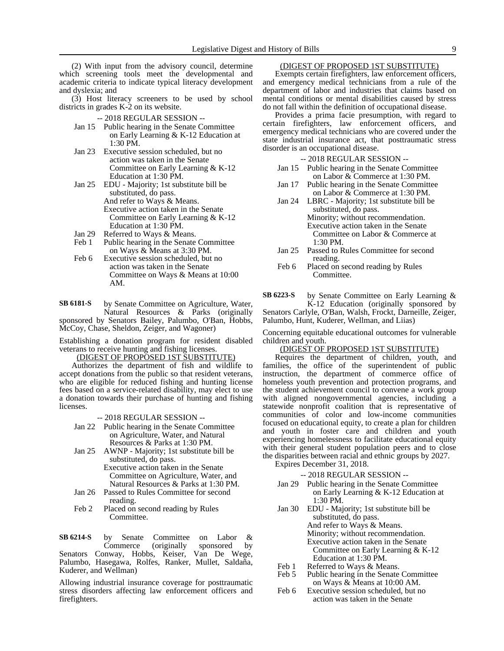(2) With input from the advisory council, determine which screening tools meet the developmental and academic criteria to indicate typical literacy development and dyslexia; and

(3) Host literacy screeners to be used by school districts in grades K-2 on its website.

- -- 2018 REGULAR SESSION --
- Jan 15 Public hearing in the Senate Committee on Early Learning & K-12 Education at 1:30 PM.
- Jan 23 Executive session scheduled, but no action was taken in the Senate Committee on Early Learning & K-12 Education at 1:30 PM.
- Jan 25 EDU Majority; 1st substitute bill be substituted, do pass. And refer to Ways & Means. Executive action taken in the Senate Committee on Early Learning & K-12 Education at 1:30 PM.
- Jan 29 Referred to Ways & Means.
- Feb 1 Public hearing in the Senate Committee on Ways & Means at 3:30 PM.
- Feb 6 Executive session scheduled, but no action was taken in the Senate Committee on Ways & Means at 10:00 AM.

by Senate Committee on Agriculture, Water, Natural Resources & Parks (originally sponsored by Senators Bailey, Palumbo, O'Ban, Hobbs, McCoy, Chase, Sheldon, Zeiger, and Wagoner) **SB 6181-S**

Establishing a donation program for resident disabled veterans to receive hunting and fishing licenses.

(DIGEST OF PROPOSED 1ST SUBSTITUTE)

Authorizes the department of fish and wildlife to accept donations from the public so that resident veterans, who are eligible for reduced fishing and hunting license fees based on a service-related disability, may elect to use a donation towards their purchase of hunting and fishing licenses.

-- 2018 REGULAR SESSION --

- Jan 22 Public hearing in the Senate Committee on Agriculture, Water, and Natural Resources & Parks at 1:30 PM.
- Jan 25 AWNP Majority; 1st substitute bill be substituted, do pass.
	- Executive action taken in the Senate Committee on Agriculture, Water, and Natural Resources & Parks at 1:30 PM.
- Jan 26 Passed to Rules Committee for second reading.
- Feb 2 Placed on second reading by Rules Committee.

by Senate Committee on Labor & Commerce (originally sponsored by Senators Conway, Hobbs, Keiser, Van De Wege, Palumbo, Hasegawa, Rolfes, Ranker, Mullet, Saldaña, Kuderer, and Wellman) **SB 6214-S**

Allowing industrial insurance coverage for posttraumatic stress disorders affecting law enforcement officers and firefighters.

# (DIGEST OF PROPOSED 1ST SUBSTITUTE)

Exempts certain firefighters, law enforcement officers, and emergency medical technicians from a rule of the department of labor and industries that claims based on mental conditions or mental disabilities caused by stress do not fall within the definition of occupational disease.

Provides a prima facie presumption, with regard to certain firefighters, law enforcement officers, and emergency medical technicians who are covered under the state industrial insurance act, that posttraumatic stress disorder is an occupational disease.

- -- 2018 REGULAR SESSION --
- Jan 15 Public hearing in the Senate Committee on Labor & Commerce at 1:30 PM.
- Jan 17 Public hearing in the Senate Committee on Labor & Commerce at 1:30 PM.
- Jan 24 LBRC Majority; 1st substitute bill be substituted, do pass. Minority; without recommendation. Executive action taken in the Senate Committee on Labor & Commerce at 1:30 PM.
- Jan 25 Passed to Rules Committee for second reading.
- Feb 6 Placed on second reading by Rules Committee.

by Senate Committee on Early Learning & K-12 Education (originally sponsored by Senators Carlyle, O'Ban, Walsh, Frockt, Darneille, Zeiger, Palumbo, Hunt, Kuderer, Wellman, and Liias) **SB 6223-S**

Concerning equitable educational outcomes for vulnerable children and youth.

# (DIGEST OF PROPOSED 1ST SUBSTITUTE)

Requires the department of children, youth, and families, the office of the superintendent of public instruction, the department of commerce office of homeless youth prevention and protection programs, and the student achievement council to convene a work group with aligned nongovernmental agencies, including a statewide nonprofit coalition that is representative of communities of color and low-income communities focused on educational equity, to create a plan for children and youth in foster care and children and youth experiencing homelessness to facilitate educational equity with their general student population peers and to close the disparities between racial and ethnic groups by 2027. Expires December 31, 2018.

- Jan 29 Public hearing in the Senate Committee on Early Learning & K-12 Education at 1:30 PM.
- Jan 30 EDU Majority; 1st substitute bill be substituted, do pass. And refer to Ways & Means. Minority; without recommendation. Executive action taken in the Senate Committee on Early Learning & K-12 Education at 1:30 PM.
- Feb 1 Referred to Ways & Means.
- Feb 5 Public hearing in the Senate Committee on Ways & Means at 10:00 AM.
- Feb 6 Executive session scheduled, but no action was taken in the Senate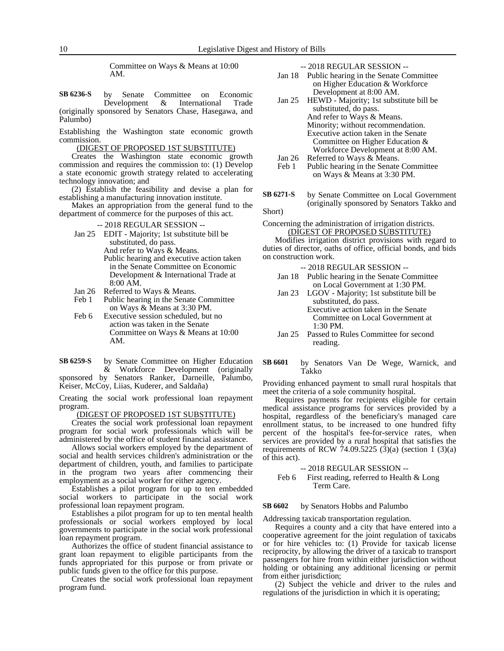Committee on Ways & Means at 10:00 AM.

by Senate Committee on Economic<br>Development & International Trade Development & International Trade (originally sponsored by Senators Chase, Hasegawa, and Palumbo) **SB 6236-S**

Establishing the Washington state economic growth commission.

(DIGEST OF PROPOSED 1ST SUBSTITUTE)

Creates the Washington state economic growth commission and requires the commission to: (1) Develop a state economic growth strategy related to accelerating technology innovation; and

(2) Establish the feasibility and devise a plan for establishing a manufacturing innovation institute.

Makes an appropriation from the general fund to the department of commerce for the purposes of this act.

- -- 2018 REGULAR SESSION --
- Jan 25 EDIT Majority; 1st substitute bill be substituted, do pass.

And refer to Ways & Means. Public hearing and executive action taken in the Senate Committee on Economic

- Development & International Trade at 8:00 AM.
- Jan 26 Referred to Ways & Means.<br>Feb 1 Public hearing in the Senate Public hearing in the Senate Committee on Ways & Means at 3:30 PM.

Feb 6 Executive session scheduled, but no action was taken in the Senate Committee on Ways & Means at 10:00 AM.

by Senate Committee on Higher Education & Workforce Development (originally **SB 6259-S**

sponsored by Senators Ranker, Darneille, Palumbo, Keiser, McCoy, Liias, Kuderer, and Saldaña)

Creating the social work professional loan repayment program.

(DIGEST OF PROPOSED 1ST SUBSTITUTE)

Creates the social work professional loan repayment program for social work professionals which will be administered by the office of student financial assistance.

Allows social workers employed by the department of social and health services children's administration or the department of children, youth, and families to participate in the program two years after commencing their employment as a social worker for either agency.

Establishes a pilot program for up to ten embedded social workers to participate in the social work professional loan repayment program.

Establishes a pilot program for up to ten mental health professionals or social workers employed by local governments to participate in the social work professional loan repayment program.

Authorizes the office of student financial assistance to grant loan repayment to eligible participants from the funds appropriated for this purpose or from private or public funds given to the office for this purpose.

Creates the social work professional loan repayment program fund.

-- 2018 REGULAR SESSION --

- Jan 18 Public hearing in the Senate Committee on Higher Education & Workforce Development at 8:00 AM.
- Jan 25 HEWD Majority; 1st substitute bill be substituted, do pass. And refer to Ways & Means. Minority; without recommendation. Executive action taken in the Senate Committee on Higher Education & Workforce Development at 8:00 AM. Jan 26 Referred to Ways & Means.
- Feb 1 Public hearing in the Senate Committee on Ways & Means at 3:30 PM.
- by Senate Committee on Local Government (originally sponsored by Senators Takko and Short) **SB 6271-S**

Concerning the administration of irrigation districts. (DIGEST OF PROPOSED SUBSTITUTE)

Modifies irrigation district provisions with regard to duties of director, oaths of office, official bonds, and bids on construction work.

- -- 2018 REGULAR SESSION --
- Jan 18 Public hearing in the Senate Committee on Local Government at 1:30 PM.
- Jan 23 LGOV Majority; 1st substitute bill be substituted, do pass. Executive action taken in the Senate Committee on Local Government at 1:30 PM.
- Jan 25 Passed to Rules Committee for second reading.
- by Senators Van De Wege, Warnick, and Takko **SB 6601**

Providing enhanced payment to small rural hospitals that meet the criteria of a sole community hospital.

Requires payments for recipients eligible for certain medical assistance programs for services provided by a hospital, regardless of the beneficiary's managed care enrollment status, to be increased to one hundred fifty percent of the hospital's fee-for-service rates, when services are provided by a rural hospital that satisfies the requirements of RCW 74.09.5225  $(3)(a)$  (section 1  $(3)(a)$ ) of this act).

### -- 2018 REGULAR SESSION --

```
Feb 6 First reading, referred to Health & Long
Term Care.
```
#### by Senators Hobbs and Palumbo **SB 6602**

Addressing taxicab transportation regulation.

Requires a county and a city that have entered into a cooperative agreement for the joint regulation of taxicabs or for hire vehicles to: (1) Provide for taxicab license reciprocity, by allowing the driver of a taxicab to transport passengers for hire from within either jurisdiction without holding or obtaining any additional licensing or permit from either jurisdiction;

(2) Subject the vehicle and driver to the rules and regulations of the jurisdiction in which it is operating;